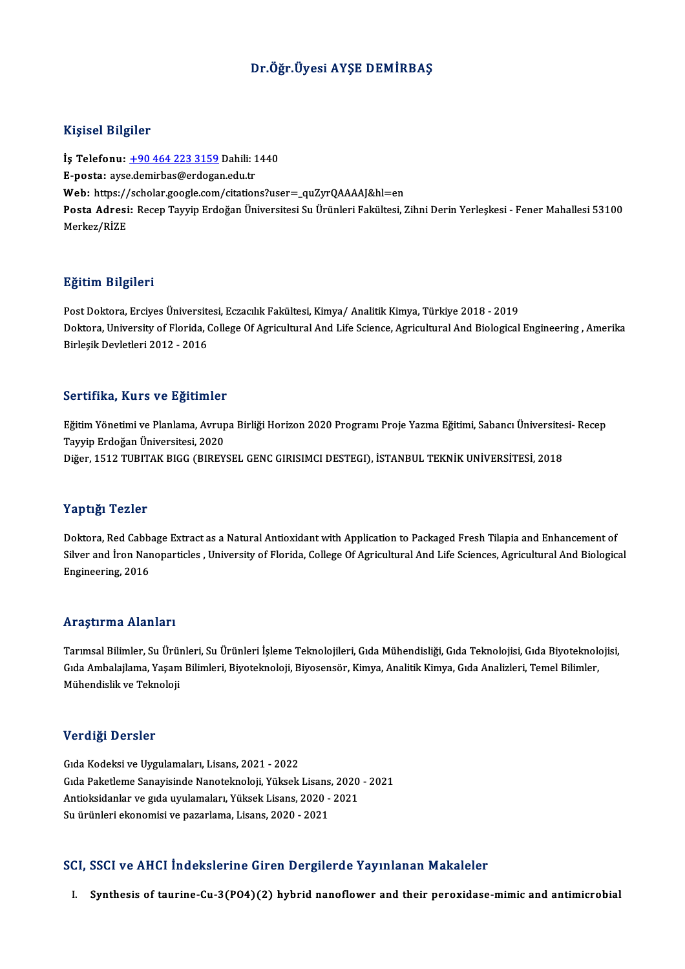#### Dr.Öğr.Üyesi AYŞE DEMİRBAŞ

#### Kişisel Bilgiler

Kişisel Bilgiler<br>İş Telefonu: <u>+90 464 223 3159</u> Dahili: 1440<br>E nasta: avsedemirbas@erdogan.edu.tr 11191001 DABA01<br>İş Telefonu: <u>+90 464 223 3159</u> Dahili: 1<br>E-posta: ays[e.demirbas@erdoga](tel:+90 464 223 3159)n.edu.tr İş Telefonu: <u>+90 464 223 3159</u> Dahili: 1440<br>E-posta: ayse.demirbas@erdogan.edu.tr<br>Web: https://scholar.google.com/citations?user=\_quZyrQAAAAJ&hl=en<br>Posta Adresi: Besen Teurin Erdoğan Üniversitesi Su Ürünleri Fekültesi 5 E-posta: ayse.demirbas@erdogan.edu.tr<br>Web: https://scholar.google.com/citations?user=\_quZyrQAAAAJ&hl=en<br>Posta Adresi: Recep Tayyip Erdoğan Üniversitesi Su Ürünleri Fakültesi, Zihni Derin Yerleşkesi - Fener Mahallesi 53100<br> Web: https://<br>Posta Adresi<br>Merkez/RİZE

#### Eğitim Bilgileri

**Eğitim Bilgileri**<br>Post Doktora, Erciyes Üniversitesi, Eczacılık Fakültesi, Kimya/ Analitik Kimya, Türkiye 2018 - 2019<br>Poktora University of Flarida Collage Of Agrisultural And Life Science, Agrisultural And Pielegisel Doktora, University of Florida, College Of Agricultural And Life Science, Agricultural And Biological Engineering , Amerika<br>Birleşik Devletleri 2012 - 2016 Post Doktora, Erciyes Üniversit<br>Doktora, University of Florida, (<br>Birleşik Devletleri 2012 - 2016

#### Sertifika, Kurs ve Eğitimler

Se**rtifika, Kurs ve Eğitimler**<br>Eğitim Yönetimi ve Planlama, Avrupa Birliği Horizon 2020 Programı Proje Yazma Eğitimi, Sabancı Üniversitesi- Recep<br>Tavrin Erdeğan Üniversitesi, 2020 Tayyip Erdoğan Üniversitesi, 2020<br>Tayyip Erdoğan Üniversitesi, 2020<br>Diğen 1512 TUBITAK BICC (BIBEV Tayyip Erdoğan Üniversitesi, 2020<br>Diğer, 1512 TUBITAK BIGG (BIREYSEL GENC GIRISIMCI DESTEGI), İSTANBUL TEKNİK UNİVERSİTESİ, 2018

#### Yaptığı Tezler

Doktora, Red Cabbage Extract as a Natural Antioxidant with Application to Packaged Fresh Tilapia and Enhancement of Silver and İron Nanoparticles , University of Florida, College Of Agricultural And Life Sciences, Agricultural And Biological Engineering,2016

#### Araştırma Alanları

Araştırma Alanları<br>Tarımsal Bilimler, Su Ürünleri, Su Ürünleri İşleme Teknolojileri, Gıda Mühendisliği, Gıda Teknolojisi, Gıda Biyoteknolojisi,<br>Gıda Ambalailama Yasam Bilimleri, Biyotalmalaji, Biyosanağa, Kimya, Analitik K rri dyen ind rridiridiri<br>Tarımsal Bilimler, Su Ürünleri, Su Ürünleri İşleme Teknolojileri, Gıda Mühendisliği, Gıda Teknolojisi, Gıda Biyoteknol<br>Gıda Ambalajlama, Yaşam Bilimleri, Biyoteknoloji, Biyosensör, Kimya, Analitik Tarımsal Bilimler, Su Ürüı<br>Gıda Ambalajlama, Yaşam<br>Mühendislik ve Teknoloji Mühendislik ve Teknoloji<br>Verdiği Dersler

Gıda Kodeksi ve Uygulamaları, Lisans, 2021 - 2022 Gıda Paketleme Sanayisinde Nanoteknoloji, Yüksek Lisans, 2020 - 2021 Gıda Kodeksi ve Uygulamaları, Lisans, 2021 - 2022<br>Gıda Paketleme Sanayisinde Nanoteknoloji, Yüksek Lisans, 2020<br>Antioksidanlar ve gıda uyulamaları, Yüksek Lisans, 2020 - 2021<br>Su ürünleri ekonomisi ve nazarlama Lisans, 2020 Gıda Paketleme Sanayisinde Nanoteknoloji, Yüksek Lisans<br>Antioksidanlar ve gıda uyulamaları, Yüksek Lisans, 2020 -<br>Su ürünleri ekonomisi ve pazarlama, Lisans, 2020 - 2021

# Su ürünleri ekonomisi ve pazarlama, Lisans, 2020 - 2021<br>SCI, SSCI ve AHCI İndekslerine Giren Dergilerde Yayınlanan Makaleler

I. Synthesis of taurine-Cu-3(PO4)(2) hybrid nanoflower and their peroxidase-mimic and antimicrobial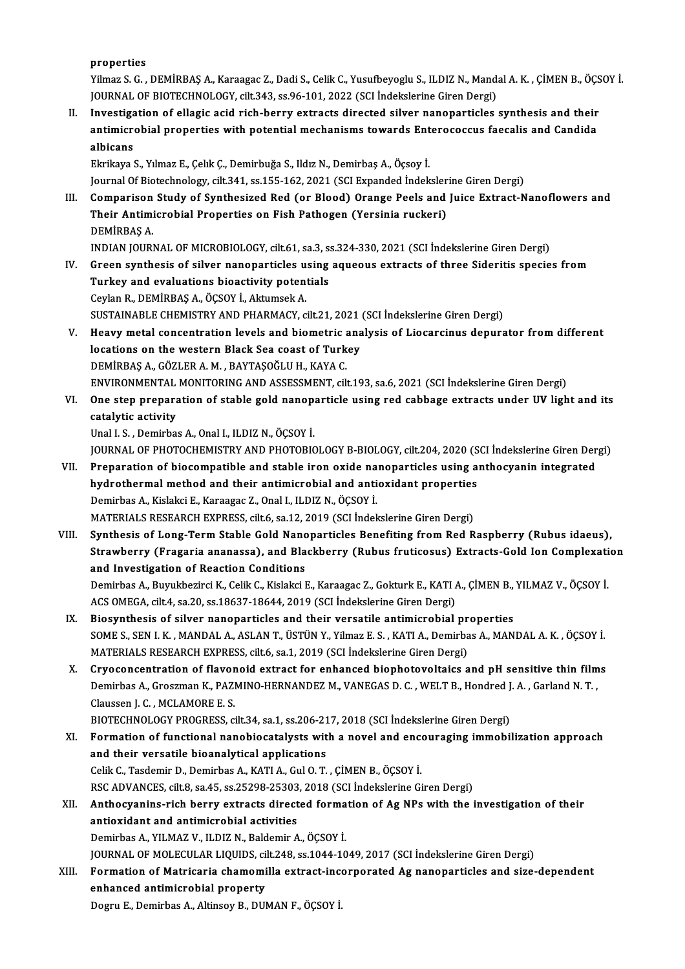properties

Properties<br>Yilmaz S. G. , DEMİRBAŞ A., Karaagac Z., Dadi S., Celik C., Yusufbeyoglu S., ILDIZ N., Mandal A. K. , ÇİMEN B., ÖÇSOY İ.<br>JOUPMAL OE PIOTECHNOLOCY, silt 343, se 96,101, 3033 (SCL İndekslerine Giren Dergi). properties<br>Yilmaz S. G. , DEMİRBAŞ A., Karaagac Z., Dadi S., Celik C., Yusufbeyoglu S., ILDIZ N., Mand.<br>JOURNAL OF BIOTECHNOLOGY, cilt.343, ss.96-101, 2022 (SCI İndekslerine Giren Dergi)<br>Investigation of ellegia asid rish Yilmaz S. G., DEMİRBAŞ A., Karaagac Z., Dadi S., Celik C., Yusufbeyoglu S., ILDIZ N., Mandal A. K., ÇİMEN B., ÖÇS<br>JOURNAL OF BIOTECHNOLOGY, cilt.343, ss.96-101, 2022 (SCI İndekslerine Giren Dergi)<br>II. Investigation of ella

JOURNAL OF BIOTECHNOLOGY, cilt.343, ss.96-101, 2022 (SCI İndekslerine Giren Dergi)<br>Investigation of ellagic acid rich-berry extracts directed silver nanoparticles synthesis and their<br>antimicrobial properties with potential Investiga<br>antimicro<br>albicans<br>Elrikava antimicrobial properties with potential mechanisms towards Enterococcus faecalis and Candida<br>albicans<br>Ekrikaya S., Yılmaz E., Çelık Ç., Demirbuğa S., Ildız N., Demirbaş A., Öçsoy İ.

Journal Of Biotechnology, cilt.341, ss.155-162, 2021 (SCI Expanded Indekslerine Giren Dergi)

III. Comparison Study of Synthesized Red (or Blood) Orange Peels and Juice Extract-Nanoflowers and Journal Of Biotechnology, cilt.341, ss.155-162, 2021 (SCI Expanded İndeksler<br>Comparison Study of Synthesized Red (or Blood) Orange Peels and<br>Their Antimicrobial Properties on Fish Pathogen (Yersinia ruckeri)<br>PEMIPRAS A Comparison<br>Their Antimi<br>DEMİRBAŞ A.<br>INDIAN IOUPI DEMİRBAŞ A.<br>INDIAN JOURNAL OF MICROBIOLOGY, cilt.61, sa.3, ss.324-330, 2021 (SCI İndekslerine Giren Dergi)

- IV. Green synthesis of silver nanoparticles using aqueous extracts of three Sideritis species from INDIAN JOURNAL OF MICROBIOLOGY, cilt.61, sa.3, s.<br>Green synthesis of silver nanoparticles using<br>Turkey and evaluations bioactivity potentials<br>Carlon B. DEMIPPAS A. ÖCSOV L. Altumeek A. Green synthesis of silver nanoparticles u<br>Turkey and evaluations bioactivity poten<br>Ceylan R., DEMİRBAŞ A., ÖÇSOY İ., Aktumsek A.<br>SUSTAINARLE CHEMISTRY AND BHARMACY 2 Turkey and evaluations bioactivity potentials<br>Ceylan R., DEMİRBAŞ A., ÖÇSOY İ., Aktumsek A.<br>SUSTAINABLE CHEMISTRY AND PHARMACY, cilt.21, 2021 (SCI İndekslerine Giren Dergi)<br>Heauw metal cancentration levels and biometris an Ceylan R., DEMİRBAŞ A., ÖÇSOY İ., Aktumsek A.<br>SUSTAINABLE CHEMISTRY AND PHARMACY, cilt.21, 2021 (SCI İndekslerine Giren Dergi)<br>V. Heavy metal concentration levels and biometric analysis of Liocarcinus depurator from differ
- SUSTAINABLE CHEMISTRY AND PHARMACY, cilt.21, 2021<br>Heavy metal concentration levels and biometric ana<br>locations on the western Black Sea coast of Turkey Heavy metal concentration levels and biometric and intertained and solutions on the western Black Sea coast of Turk<br>DEMİRBAŞ A., GÖZLER A. M. , BAYTAŞOĞLU H., KAYA C.<br>ENWIRONMENTAL MONITORING AND ASSESSMENT GÜ locations on the western Black Sea coast of Turkey<br>DEMİRBAŞ A., GÖZLER A. M. , BAYTAŞOĞLU H., KAYA C.<br>ENVIRONMENTAL MONITORING AND ASSESSMENT, cilt.193, sa.6, 2021 (SCI İndekslerine Giren Dergi)<br>One stan preparation of sta
- DEMIRBAŞ A., GÖZLER A. M. , BAYTAŞOĞLU H., KAYA C.<br>ENVIRONMENTAL MONITORING AND ASSESSMENT, cilt.193, sa.6, 2021 (SCI İndekslerine Giren Dergi)<br>VI. One step preparation of stable gold nanoparticle using red cabbage ext ENVIRONMENTAL<br>One step prepara<br>catalytic activity<br>Unal I S. Domirba catalytic activity<br>Unal I. S. , Demirbas A., Onal I., ILDIZ N., ÖÇSOY İ.<br>JOURNAL OF PHOTOCHEMISTRY AND PHOTOBIOLOGY B-BIOLOGY, cilt.204, 2020 (SCI İndekslerine Giren Dergi)<br>Prenaration of biocomnatible and stable iron ovid

Unal I.S., Demirbas A., Onal I., ILDIZ N., ÖÇSOY İ.

- Unal I. S. , Demirbas A., Onal I., ILDIZ N., ÖÇSOY İ.<br>JOURNAL OF PHOTOCHEMISTRY AND PHOTOBIOLOGY B-BIOLOGY, cilt.204, 2020 (SCI İndekslerine Giren Der<br>VII. Preparation of biocompatible and stable iron oxide nanoparticles u JOURNAL OF PHOTOCHEMISTRY AND PHOTOBIOLOGY B-BIOLOGY, cilt.204, 2020 (S<br>Preparation of biocompatible and stable iron oxide nanoparticles using a<br>hydrothermal method and their antimicrobial and antioxidant properties<br>Domirb VII. Preparation of biocompatible and stable iron oxide nanoparticles using anthocyanin integrated<br>hydrothermal method and their antimicrobial and antioxidant properties<br>Demirbas A., Kislakci E., Karaagac Z., Onal I., ILDI hydrothermal method and their antimicrobial and antioxidant properties Demirbas A., Kislakci E., Karaagac Z., Onal I., ILDIZ N., ÖÇSOY İ.<br>MATERIALS RESEARCH EXPRESS, cilt.6, sa.12, 2019 (SCI İndekslerine Giren Dergi)<br>VIII. Synthesis of Long-Term Stable Gold Nanoparticles Benefiting from Red R
- MATERIALS RESEARCH EXPRESS, cilt.6, sa.12, 2019 (SCI İndekslerine Giren Dergi)<br>Synthesis of Long-Term Stable Gold Nanoparticles Benefiting from Red Raspberry (Rubus idaeus),<br>Strawberry (Fragaria ananassa), and Blackberry ( Synthesis of Long-Term Stable Gold Nano<br>Strawberry (Fragaria ananassa), and Bla<br>and Investigation of Reaction Conditions<br>Demirbes A. Burukberinsi K. Colik C. Kialaksi I Strawberry (Fragaria ananassa), and Blackberry (Rubus fruticosus) Extracts-Gold Ion Complexati<br>and Investigation of Reaction Conditions<br>Demirbas A., Buyukbezirci K., Celik C., Kislakci E., Karaagac Z., Gokturk E., KATI A., and Investigation of Reaction Conditions<br>Demirbas A., Buyukbezirci K., Celik C., Kislakci E., Karaagac Z., Gokturk E., KATI /<br>ACS OMEGA, cilt.4, sa.20, ss.18637-18644, 2019 (SCI İndekslerine Giren Dergi)<br>Piesunthesis of si
- Demirbas A., Buyukbezirci K., Celik C., Kislakci E., Karaagac Z., Gokturk E., KATI A., ÇİMEN B.,<br>ACS OMEGA, cilt.4, sa.20, ss.18637-18644, 2019 (SCI İndekslerine Giren Dergi)<br>IX. Biosynthesis of silver nanoparticles and th ACS OMEGA, cilt.4, sa.20, ss.18637-18644, 2019 (SCI İndekslerine Giren Dergi)<br>Biosynthesis of silver nanoparticles and their versatile antimicrobial properties<br>SOME S., SEN I. K. , MANDAL A., ASLAN T., ÜSTÜN Y., Yilmaz E. Biosynthesis of silver nanoparticles and their versatile antimicrobial pr<br>SOME S., SEN I. K. , MANDAL A., ASLAN T., ÜSTÜN Y., Yilmaz E. S. , KATI A., Demirba<br>MATERIALS RESEARCH EXPRESS, cilt.6, sa.1, 2019 (SCI İndekslerine SOME S., SEN I. K., MANDAL A., ASLAN T., ÜSTÜN Y., Yilmaz E. S., KATI A., Demirbas A., MANDAL A. K., ÖÇSOY İ.<br>MATERIALS RESEARCH EXPRESS, cilt.6, sa.1, 2019 (SCI İndekslerine Giren Dergi)<br>X. Cryoconcentration of flavonoid
- MATERIALS RESEARCH EXPRESS, cilt.6, sa.1, 2019 (SCI İndekslerine Giren Dergi)<br>Cryoconcentration of flavonoid extract for enhanced biophotovoltaics and pH sensitive thin film<br>Demirbas A., Groszman K., PAZMINO-HERNANDEZ M., Cryoconcentration of flavor<br>Demirbas A., Groszman K., PAZI<br>Claussen J. C. , MCLAMORE E. S.<br>PIOTECHNOLOCY PROCRESS Demirbas A., Groszman K., PAZMINO-HERNANDEZ M., VANEGAS D. C. , WELT B., Hondred J<br>Claussen J. C. , MCLAMORE E. S.<br>BIOTECHNOLOGY PROGRESS, cilt.34, sa.1, ss.206-217, 2018 (SCI İndekslerine Giren Dergi)<br>Formation of functio

- Claussen J. C. , MCLAMORE E. S.<br>BIOTECHNOLOGY PROGRESS, cilt.34, sa.1, ss.206-217, 2018 (SCI İndekslerine Giren Dergi)<br>XI. Formation of functional nanobiocatalysts with a novel and encouraging immobilization approach<br>and t BIOTECHNOLOGY PROGRESS, cilt.34, sa.1, ss.206-21<br>Formation of functional nanobiocatalysts wit<br>and their versatile bioanalytical applications<br>Celik C. Tecdemir D. Demirbas A. KATLA, Cul O.T. Formation of functional nanobiocatalysts with a novel and ence<br>and their versatile bioanalytical applications<br>Celik C., Tasdemir D., Demirbas A., KATI A., Gul O.T. , ÇİMEN B., ÖÇSOY İ.<br>BSC ADVANCES .sit 8.53.45.53.25209.25 and their versatile bioanalytical applications<br>Celik C., Tasdemir D., Demirbas A., KATI A., Gul O. T. , ÇİMEN B., ÖÇSOY İ.<br>RSC ADVANCES, cilt.8, sa.45, ss.25298-25303, 2018 (SCI İndekslerine Giren Dergi)<br>Anthoquanina rish Celik C., Tasdemir D., Demirbas A., KATI A., Gul O. T. , ÇİMEN B., ÖÇSOY İ.<br>RSC ADVANCES, cilt.8, sa.45, ss.25298-25303, 2018 (SCI İndekslerine Giren Dergi)<br>XII. Anthocyanins-rich berry extracts directed formation of A
- RSC ADVANCES, cilt.8, sa.45, ss.25298-25303<br>Anthocyanins-rich berry extracts direct<br>antioxidant and antimicrobial activities<br>Domirhas A, VII MAZ V, II DIZ N, Boldomir A Demirbas A., YILMAZ V., ILDIZ N., Baldemir A., ÖÇSOY İ. antioxidant and antimicrobial activities<br>Demirbas A., YILMAZ V., ILDIZ N., Baldemir A., ÖÇSOY İ.<br>JOURNAL OF MOLECULAR LIQUIDS, cilt.248, ss.1044-1049, 2017 (SCI İndekslerine Giren Dergi)<br>Fermation of Matrisaria shamomilla Demirbas A., YILMAZ V., ILDIZ N., Baldemir A., ÖÇSOY İ.<br>JOURNAL OF MOLECULAR LIQUIDS, cilt.248, ss.1044-1049, 2017 (SCI İndekslerine Giren Dergi)<br>XIII. Formation of Matricaria chamomilla extract-incorporated Ag nanopar
- **JOURNAL OF MOLECULAR LIQUIDS, ci<br>Formation of Matricaria chamomi<br>enhanced antimicrobial property**<br>Pogyu E. Domirbes A. Altineeu B. DUI Formation of Matricaria chamomilla extract-inc<br>enhanced antimicrobial property<br>Dogru E., Demirbas A., Altinsoy B., DUMAN F., ÖÇSOY İ.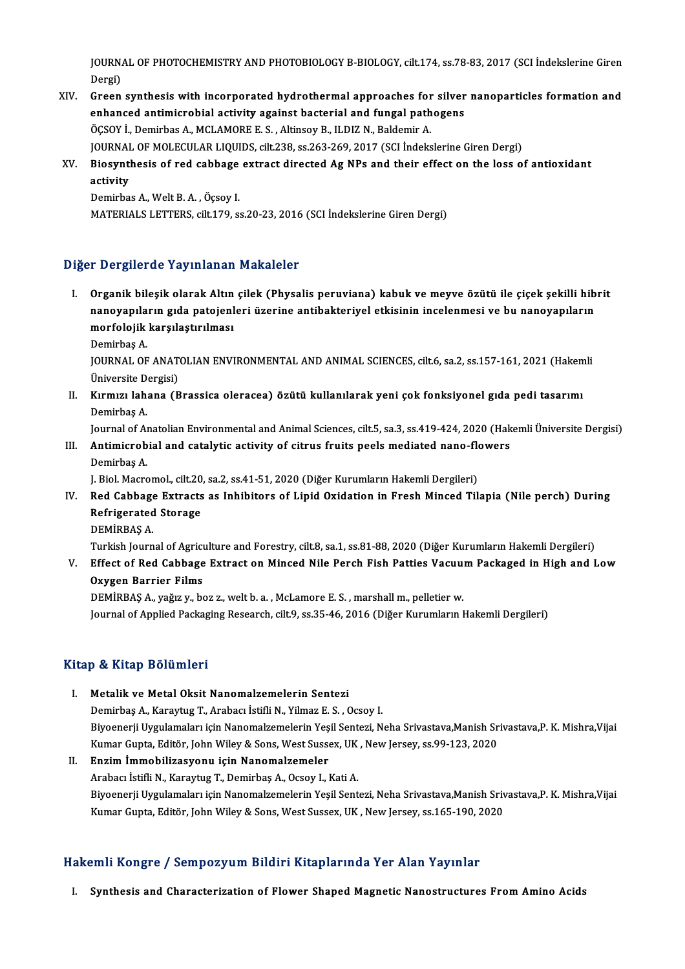JOURNAL OF PHOTOCHEMISTRY AND PHOTOBIOLOGY B-BIOLOGY, cilt.174, ss.78-83, 2017 (SCI İndekslerine Giren<br>Persi JOURN<br>Dergi)<br>Green JOURNAL OF PHOTOCHEMISTRY AND PHOTOBIOLOGY B-BIOLOGY, cilt.174, ss.78-83, 2017 (SCI İndekslerine Giren<br>Dergi)<br>XIV. Green synthesis with incorporated hydrothermal approaches for silver nanoparticles formation and<br>ophansed a

- Dergi)<br>Green synthesis with incorporated hydrothermal approaches for silver<br>enhanced antimicrobial activity against bacterial and fungal pathogens<br>ÖCSOV İ. Demirbes A. MCLAMORE E.S., Altinsey B. H.DIZ N. Baldemin A. Green synthesis with incorporated hydrothermal approaches for<br>enhanced antimicrobial activity against bacterial and fungal path<br>ÖÇSOY İ., Demirbas A., MCLAMORE E. S. , Altinsoy B., ILDIZ N., Baldemir A.<br>JOUPMAL OF MOLECULA ÖÇSOY İ., Demirbas A., MCLAMORE E. S. , Altinsoy B., ILDIZ N., Baldemir A.<br>JOURNAL OF MOLECULAR LIQUIDS, cilt.238, ss.263-269, 2017 (SCI İndekslerine Giren Dergi) ÖÇSOY İ., Demirbas A., MCLAMORE E. S. , Altinsoy B., ILDIZ N., Baldemir A.<br>JOURNAL OF MOLECULAR LIQUIDS, cilt.238, ss.263-269, 2017 (SCI İndekslerine Giren Dergi)<br>XV. Biosynthesis of red cabbage extract directed Ag NPs
- JOURNAI<br>Biosynt<br>activity<br><sup>Domirbo</sup> Biosynthesis of red cabbage<br>activity<br>Demirbas A., Welt B. A. , Öçsoy I.<br>MATERIALS I ETTERS, cilt 170, ci

activity<br>Demirbas A., Welt B. A. , Öçsoy I.<br>MATERIALS LETTERS, cilt.179, ss.20-23, 2016 (SCI İndekslerine Giren Dergi)

#### Diğer Dergilerde Yayınlanan Makaleler

- Iğer Dergilerde Yayınlanan Makaleler<br>I. Organik bileşik olarak Altın çilek (Physalis peruviana) kabuk ve meyve özütü ile çiçek şekilli hibrit<br>Ranayanıların gide pateienleri üzerine entihekteriyel etkisinin inselenmesi ve b n Bergherde raymmanan Mahareler<br>Organik bileşik olarak Altın çilek (Physalis peruviana) kabuk ve meyve özütü ile çiçek şekilli hib<br>nanoyapıların gıda patojenleri üzerine antibakteriyel etkisinin incelenmesi ve bu nanoyapıl Organik bileşik olarak Altın<br>nanoyapıların gıda patojenl<br>morfolojik karşılaştırılması<br><sup>Dominbos A</sup> nanoyapıların gıda patojenleri üzerine antibakteriyel etkisinin incelenmesi ve bu nanoyapıların<br>morfolojik karşılaştırılması<br>Demirbaş A.
	-

morfolojik karşılaştırılması<br>Demirbaş A.<br>JOURNAL OF ANATOLIAN ENVIRONMENTAL AND ANIMAL SCIENCES, cilt.6, sa.2, ss.157-161, 2021 (Hakemli<br>Üniversite Dergisi) Demirbaş A.<br>JOURNAL OF ANAT<br>Üniversite Dergisi)<br>Kırmızı Jahana (B JOURNAL OF ANATOLIAN ENVIRONMENTAL AND ANIMAL SCIENCES, cilt.6, sa.2, ss.157-161, 2021 (Hakem<br>Üniversite Dergisi)<br>II. Kırmızı lahana (Brassica oleracea) özütü kullanılarak yeni çok fonksiyonel gıda pedi tasarımı<br>Demirbes A

Üniversite D<br>**Kırmızı lah**:<br>Demirbaş A.<br>Journal of A.

Demirbaş A.<br>Journal of Anatolian Environmental and Animal Sciences, cilt.5, sa.3, ss.419-424, 2020 (Hakemli Üniversite Dergisi)

Demirbaş A.<br>Journal of Anatolian Environmental and Animal Sciences, cilt.5, sa.3, ss.419-424, 2020 (Hak<br>III. Antimicrobial and catalytic activity of citrus fruits peels mediated nano-flowers<br>Demirbes A Journal of An<br><mark>Antimicrob</mark><br>Demirbaş A.<br>L. Biol Magre Antimicrobial and catalytic activity of citrus fruits peels mediated nano-flo<br>Demirbaş A.<br>J. Biol. Macromol., cilt.20, sa.2, ss.41-51, 2020 (Diğer Kurumların Hakemli Dergileri)<br>Ped Cabbage Extrasts as Inbibitars of Linid Q

Demirbaş A.<br>J. Biol. Macromol., cilt.20, sa.2, ss.41-51, 2020 (Diğer Kurumların Hakemli Dergileri)<br>IV. Red Cabbage Extracts as Inhibitors of Lipid Oxidation in Fresh Minced Tilapia (Nile perch) During<br>Refrigerated Star **J. Biol. Macromol., cilt.20<br>Red Cabbage Extracts<br>Refrigerated Storage**<br>DEMIPPAS A Red Cabbage<br>Refrigerated<br>DEMİRBAŞ A.<br>Turkish Journ Refrigerated Storage<br>DEMİRBAŞ A.<br>Turkish Journal of Agriculture and Forestry, cilt.8, sa.1, ss.81-88, 2020 (Diğer Kurumların Hakemli Dergileri)<br>Effect of Bed Cabbage Eytrect en Minead Nile Borsh Fish Betties Vesuum Beskage

DEMİRBAŞ A.<br>Turkish Journal of Agriculture and Forestry, cilt.8, sa.1, ss.81-88, 2020 (Diğer Kurumların Hakemli Dergileri)<br>V. Effect of Red Cabbage Extract on Minced Nile Perch Fish Patties Vacuum Packaged in High and Turkish Journal of Agricu<br>Effect of Red Cabbage<br>Oxygen Barrier Films<br>DEMIPPAS A *vağ*ızız be Effect of Red Cabbage Extract on Minced Nile Perch Fish Patties Vacuu:<br>Oxygen Barrier Films<br>DEMİRBAŞ A., yağız y., boz z., welt b. a. , McLamore E. S. , marshall m., pelletier w.<br>Journal of Applied Beckesing Pessansh silt

Oxygen Barrier Films<br>DEMİRBAŞ A., yağız y., boz z., welt b. a. , McLamore E. S. , marshall m., pelletier w.<br>Journal of Applied Packaging Research, cilt.9, ss.35-46, 2016 (Diğer Kurumların Hakemli Dergileri)

#### Kitap & Kitap Bölümleri

- I. Metalik ve Metal Oksit Nanomalzemelerin Sentezi DemirbaşA.,KaraytugT.,Arabacı İstifliN.,YilmazE.S. ,Ocsoy I. Metalik ve Metal Oksit Nanomalzemelerin Sentezi<br>Demirbaş A., Karaytug T., Arabacı İstifli N., Yilmaz E. S. , Ocsoy I.<br>Biyoenerji Uygulamaları için Nanomalzemelerin Yeşil Sentezi, Neha Srivastava,Manish Srivastava,P. K. Mis Demirbaş A., Karaytug T., Arabacı İstifli N., Yilmaz E. S. , Ocsoy I.<br>Biyoenerji Uygulamaları için Nanomalzemelerin Yeşil Sentezi, Neha Srivastava,Manish Sr<br>Kumar Gupta, Editör, John Wiley & Sons, West Sussex, UK , New Jer Kumar Gupta, Editör, John Wiley & Sons, West Sussex, UK, New Jersey, ss.99-123, 2020
- II. Enzim İmmobilizasyonu için Nanomalzemeler<br>Arabacı İstifli N., Karaytug T., Demirbas A., Ocsoy I., Kati A. Biyoenerji Uygulamaları için Nanomalzemelerin Yeşil Sentezi, Neha Srivastava,Manish Srivastava,P. K. Mishra,Vijai Kumar Gupta, Editör, John Wiley & Sons, West Sussex, UK, New Jersey, ss.165-190, 2020

### Hakemli Kongre / Sempozyum Bildiri Kitaplarında Yer Alan Yayınlar

I. Synthesis and Characterization of Flower Shaped Magnetic Nanostructures FromAmino Acids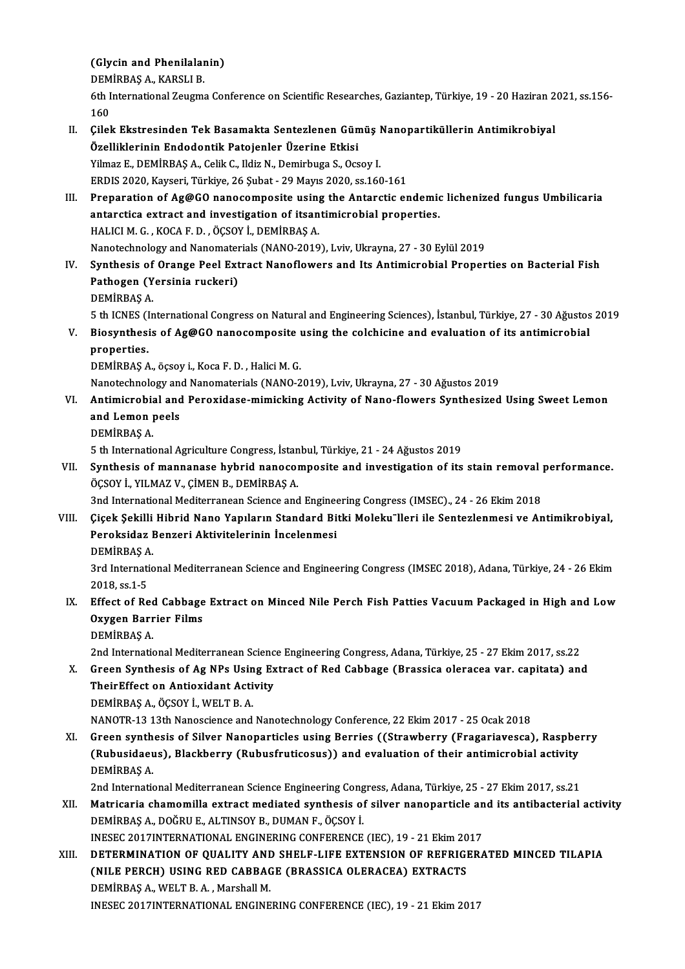# (Glycin and Phenilalanin)<br>DEMIPPAS A, KARSLLP (Glycin and Phenilalar<br>DEMİRBAŞ A., KARSLI B.<br><sup>6th Intornational Zougno</sup>

DEMIRBAŞ A., KARSLI B.

6th International Zeugma Conference on Scientific Researches, Gaziantep, Türkiye, 19 - 20 Haziran 2021, ss.156-<br>160 6th International Zeugma Conference on Scientific Researches, Gaziantep, Türkiye, 19 - 20 Haziran 2<br>160<br>II. Cilek Ekstresinden Tek Basamakta Sentezlenen Gümüş Nanopartiküllerin Antimikrobiyal<br>Özelliklerinin Endedentik Pate

- 160<br>Çilek Ekstresinden Tek Basamakta Sentezlenen Gün<br>Özelliklerinin Endodontik Patojenler Üzerine Etkisi<br><sup>Vilmaz E.</sup> DEMİPRAS A. Celik G. Hdir N. Demirbuga S. Oss Özelliklerinin Endodontik Patojenler Üzerine Etkisi<br>Yilmaz E., DEMİRBAŞ A., Celik C., Ildiz N., Demirbuga S., Ocsoy I. ERDIS2020,Kayseri,Türkiye,26 Şubat -29Mayıs2020, ss.160-161
- III. Preparation of Ag@GO nanocomposite using the Antarctic endemic lichenized fungus Umbilicaria ERDIS 2020, Kayseri, Türkiye, 26 Şubat - 29 Mayıs 2020, ss.160-161<br>Preparation of Ag@GO nanocomposite using the Antarctic endemic<br>antarctica extract and investigation of itsantimicrobial properties. Preparation of Ag@GO nanocomposite using<br>antarctica extract and investigation of itsan<br>HALICI M. G. , KOCA F. D. , ÖÇSOY İ., DEMİRBAŞ A.<br>Nanotechnology and Nanomaterials (NANO 2019 HALICI M. G. , KOCA F. D. , ÖÇSOY İ., DEMİRBAŞ A.<br>Nanotechnology and Nanomaterials (NANO-2019), Lviv, Ukrayna, 27 - 30 Eylül 2019
- IV. Synthesis of Orange Peel Extract Nanoflowers and Its Antimicrobial Properties on Bacterial Fish Nanotechnology and Nanomater<br>Synthesis of Orange Peel Ext<br>Pathogen (Yersinia ruckeri)<br>PEMIPPAS A Synthesis of<br>Pathogen (Y<br>DEMİRBAŞ A.<br>E.th ICNES (In 5 th ICNES (InternationalCongress onNaturalandEngineering Sciences), İstanbul,Türkiye,27 -30Ağustos2019
- DEMİRBAŞ A.<br>5 th ICNES (International Congress on Natural and Engineering Sciences), İstanbul, Türkiye, 27 30 Ağustos<br>7. Biosynthesis of Ag@GO nanocomposite using the colchicine and evaluation of its antimicrobial<br>8. Pro 5 th ICNES (I<br>Biosynthesi<br>properties.<br>DEMIPPAS A Biosynthesis of Ag@GO nanocomposite<br>properties.<br>DEMİRBAŞ A., öçsoy i., Koca F. D. , Halici M. G.<br>Nanoteshnelegy and Nanomaterials (NANO 2 properties.<br>DEMİRBAŞ A., öçsoy i., Koca F. D. , Halici M. G.<br>Nanotechnology and Nanomaterials (NANO-2019), Lviv, Ukrayna, 27 - 30 Ağustos 2019<br>Antimianobial and Penevidase mimiaking Astivity of Nano-flowers Synthosized

DEMİRBAŞ A., öçsoy i., Koca F. D. , Halici M. G.<br>Nanotechnology and Nanomaterials (NANO-2019), Lviv, Ukrayna, 27 - 30 Ağustos 2019<br>VI. Antimicrobial and Peroxidase-mimicking Activity of Nano-flowers Synthesized Using S Nanotechnology and<br>Antimicrobial and<br>and Lemon peels<br>DEMIPPAS A Antimicrobia<br>and Lemon<br>DEMİRBAŞ A.<br>5 th Internatic 5 and Lemon peels<br>19 DEMIRBAŞ A.<br>5 th International Agriculture Congress, İstanbul, Türkiye, 21 - 24 Ağustos 2019

DEMIRBAŞ A.<br>5 th International Agriculture Congress, İstanbul, Türkiye, 21 - 24 Ağustos 2019<br>VII. Synthesis of mannanase hybrid nanocomposite and investigation of its stain removal performance.<br>ÖCSOV İ. YILMAZ V. CİMEN ÖÇSOY İ., YILMAZ V., ÇİMEN B., DEMİRBAŞ A.<br>3nd International Mediterranean Science and Engineering Congress (IMSEC)., 24 - 26 Ekim 2018 Synthesis of mannanase hybrid nanocomposite and investigation of its stain removal p<br>ÖÇSOY İ., YILMAZ V., ÇİMEN B., DEMİRBAŞ A.<br>3nd International Mediterranean Science and Engineering Congress (IMSEC)., 24 - 26 Ekim 2018<br>C

VIII. Çiçek Şekilli Hibrid Nano Yapıların Standard Bitki Moleku"lleri ile Sentezlenmesi ve Antimikrobiyal, 3nd International Mediterranean Science and Engine<br>Çiçek Şekilli Hibrid Nano Yapıların Standard Bi<br>Peroksidaz Benzeri Aktivitelerinin İncelenmesi<br>PEMİPPAS A Çiçek Şekilli<br>Peroksidaz I<br>DEMİRBAŞ A.<br><sup>2</sup>rd Internatio Peroksidaz Benzeri Aktivitelerinin İncelenmesi<br>DEMİRBAŞ A.<br>3rd International Mediterranean Science and Engineering Congress (IMSEC 2018), Adana, Türkiye, 24 - 26 Ekim<br>2018.es 1.E

DEMIRBAŞ A<br>3rd Internati<br>2018, ss.1-5<br>Effect of Bo 3rd International Mediterranean Science and Engineering Congress (IMSEC 2018), Adana, Türkiye, 24 - 26 Ekim<br>2018, ss.1-5<br>IX. Effect of Red Cabbage Extract on Minced Nile Perch Fish Patties Vacuum Packaged in High and Low<br>2

## 2018, ss.1-5<br>Effect of Red Cabbage<br>Oxygen Barrier Films<br>DEMIPPAS A Effect of Rec<br>Oxygen Barr<br>DEMİRBAŞ A.<br>2nd Internatie 0xygen Barrier Films<br>DEMİRBAŞ A.<br>2nd International Mediterranean Science Engineering Congress, Adana, Türkiye, 25 - 27 Ekim 2017, ss.22

DEMİRBAŞ A.<br>2nd International Mediterranean Science Engineering Congress, Adana, Türkiye, 25 - 27 Ekim 2017, ss.22<br>2. Green Synthesis of Ag NPs Using Extract of Red Cabbage (Brassica oleracea var. capitata) and<br>3. TheirEff 2nd International Mediterranean Scienc<br>Green Synthesis of Ag NPs Using Ex<br>TheirEffect on Antioxidant Activity Green Synthesis of Ag NPs Usin<br>TheirEffect on Antioxidant Acti<br>DEMİRBAŞ A., ÖÇSOY İ., WELT B. A.<br>NANOTP 12.12th Nanossianse and TheirEffect on Antioxidant Activity<br>DEMİRBAŞ A., ÖÇSOY İ., WELT B. A.<br>NANOTR-13 13th Nanoscience and Nanotechnology Conference, 22 Ekim 2017 - 25 Ocak 2018

XI. Green synthesis of Silver Nanoparticles using Berries ((Strawberry (Fragariavesca), Raspberry NANOTR-13 13th Nanoscience and Nanotechnology Conference, 22 Ekim 2017 - 25 Ocak 2018<br>Green synthesis of Silver Nanoparticles using Berries ((Strawberry (Fragariavesca), Raspbe<br>(Rubusidaeus), Blackberry (Rubusfruticosus)) Green synth<br>(Rubusidaeu<br>DEMİRBAŞ A. (Rubusidaeus), Blackberry (Rubusfruticosus)) and evaluation of their antimicrobial activity<br>DEMİRBAŞ A.<br>2nd International Mediterranean Science Engineering Congress, Adana, Türkiye, 25 - 27 Ekim 2017, ss.21<br>Metricaria sham

DEMIRBAŞ A.<br>2nd International Mediterranean Science Engineering Congress, Adana, Türkiye, 25 - 27 Ekim 2017, ss.21<br>20 Natricaria chamomilla extract mediated synthesis of silver nanoparticle and its antibacterial activity<br>2 2nd International Mediterranean Science Engineering Cong<br>Matricaria chamomilla extract mediated synthesis of<br>DEMİRBAŞ A., DOĞRU E., ALTINSOY B., DUMAN F., ÖÇSOY İ.<br>INESEC 2017INTERNATIONAL ENCINERING CONEERENGE Matricaria chamomilla extract mediated synthesis of silver nanoparticle an<br>DEMIRBAŞ A., DOĞRU E., ALTINSOY B., DUMAN F., ÖÇSOY İ.<br>INESEC 2017INTERNATIONAL ENGINERING CONFERENCE (IEC), 19 - 21 Ekim 2017<br>DETERMINATION OF QUA DEMIRBAȘ A., DOĞRU E., ALTINSOY B., DUMAN F., ÖÇSOY İ.<br>INESEC 2017INTERNATIONAL ENGINERING CONFERENCE (IEC), 19 - 21 Ekim 2017<br>XIII. DETERMINATION OF QUALITY AND SHELF-LIFE EXTENSION OF REFRIGERATED MINCED TILAPIA

INESEC 2017INTERNATIONAL ENGINERING CONFERENCE (IEC), 19 - 21 Ekim 20<br>DETERMINATION OF QUALITY AND SHELF-LIFE EXTENSION OF REFRIGI<br>(NILE PERCH) USING RED CABBAGE (BRASSICA OLERACEA) EXTRACTS<br>DEMIPRAS A WELT B A Marsball M DETERMINATION OF QUALITY AN<mark>I</mark><br>(NILE PERCH) USING RED CABBA<br>DEMİRBAŞ A., WELT B. A. , Marshall M.<br>INESEC 2017INTERNATIONAL ENCINE (NILE PERCH) USING RED CABBAGE (BRASSICA OLERACEA) EXTRACTS<br>DEMIRBAŞ A., WELT B. A., Marshall M.<br>INESEC 2017INTERNATIONAL ENGINERING CONFERENCE (IEC), 19 - 21 Ekim 2017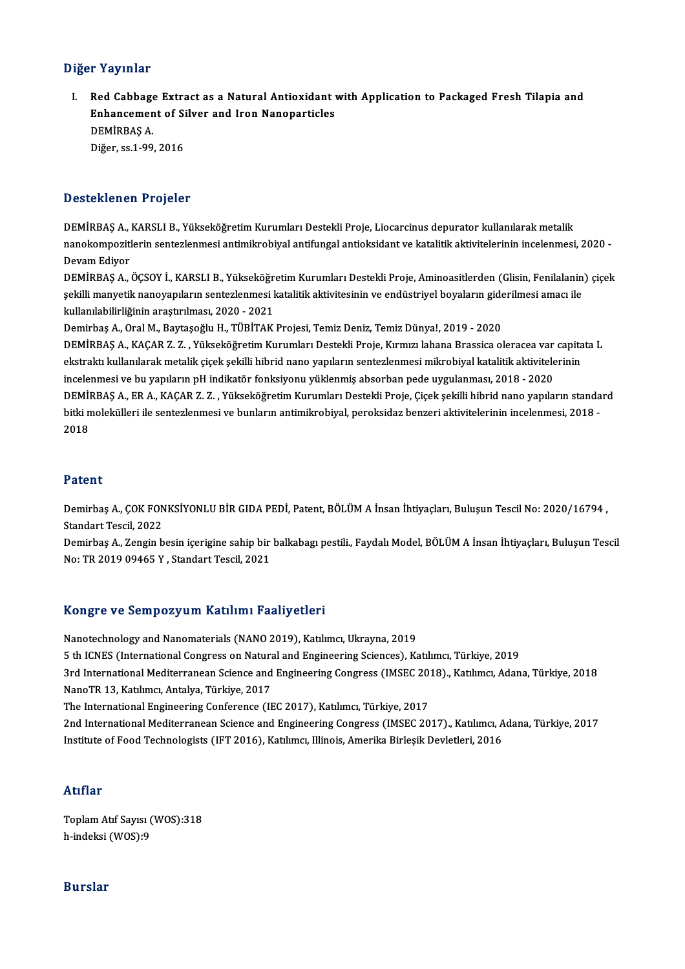#### Diğer Yayınlar

Iger Yayınlar<br>I. Red Cabbage Extract as a Natural Antioxidant with Application to Packaged Fresh Tilapia and<br>Enhancement of Silver and Iren Nanoparticles r ruymmar<br>Red Cabbage Extract as a Natural Antioxidant<br>Enhancement of Silver and Iron Nanoparticles<br>DEMiPPAS A DEMİRBAŞ A.<br>Diğer, ss. 1-99, 2016 Enhancement of Silver and Iron Nanoparticles

#### Desteklenen Projeler

DEMİRBAŞ A., KARSLI B., Yükseköğretim Kurumları Destekli Proje, Liocarcinus depurator kullanılarak metalik D OOCONNONG IT TOJOSOT<br>DEMİRBAŞ A., KARSLI B., Yükseköğretim Kurumları Destekli Proje, Liocarcinus depurator kullanılarak metalik<br>Dovam Ediyor DEMIRBAŞ A.,<br>nanokompozitl<br>Devam Ediyor<br>DEMİPPAS A

Devam Ediyor<br>DEMİRBAŞ A., ÖÇSOY İ., KARSLI B., Yükseköğretim Kurumları Destekli Proje, Aminoasitlerden (Glisin, Fenilalanin) çiçek Devam Ediyor<br>DEMİRBAŞ A., ÖÇSOY İ., KARSLI B., Yükseköğretim Kurumları Destekli Proje, Aminoasitlerden (Glisin, Fenilalanin<br>şekilli manyetik nanoyapıların sentezlenmesi katalitik aktivitesinin ve endüstriyel boyaların gide DEMİRBAŞ A., ÖÇSOY İ., KARSLI B., Yükseköğr<br>şekilli manyetik nanoyapıların sentezlenmesi l<br>kullanılabilirliğinin araştırılması, 2020 - 2021<br>Demirbas A. Oral M. Baytasoğlu H., TÜBİTAK şekilli manyetik nanoyapıların sentezlenmesi katalitik aktivitesinin ve endüstriyel boyaların gide<br>kullanılabilirliğinin araştırılması, 2020 - 2021<br>Demirbaş A., Oral M., Baytaşoğlu H., TÜBİTAK Projesi, Temiz Deniz, Temiz D

kullanılabilirliğinin araştırılması, 2020 - 2021<br>Demirbaş A., Oral M., Baytaşoğlu H., TÜBİTAK Projesi, Temiz Deniz, Temiz Dünya!, 2019 - 2020<br>DEMİRBAŞ A., KAÇAR Z. Z. , Yükseköğretim Kurumları Destekli Proje, Kırmızı lahan Demirbaş A., Oral M., Baytaşoğlu H., TÜBİTAK Projesi, Temiz Deniz, Temiz Dünya!, 2019 - 2020<br>DEMİRBAŞ A., KAÇAR Z. Z. , Yükseköğretim Kurumları Destekli Proje, Kırmızı lahana Brassica oleracea var capita<br>ekstraktı kullanıl DEMİRBAŞ A., KAÇAR Z. Z. , Yükseköğretim Kurumları Destekli Proje, Kırmızı lahana Brassica oleracea var capitata L<br>ekstraktı kullanılarak metalik çiçek şekilli hibrid nano yapıların sentezlenmesi mikrobiyal katalitik aktiv ekstraktı kullanılarak metalik çiçek şekilli hibrid nano yapıların sentezlenmesi mikrobiyal katalitik aktivitelerinin<br>incelenmesi ve bu yapıların pH indikatör fonksiyonu yüklenmiş absorban pede uygulanması, 2018 - 2020<br>DEM incelenmesi ve bu yapıların pH indikatör fonksiyonu yüklenmiş absorban pede uygulanması, 2018 - 2020<br>DEMİRBAŞ A., ER A., KAÇAR Z. Z. , Yükseköğretim Kurumları Destekli Proje, Çiçek şekilli hibrid nano yapıların standa<br>bitk DEMİI<br>bitki n<br>2018 2018<br>Patent

**Patent**<br>Demirbaş A., ÇOK FONKSİYONLU BİR GIDA PEDİ, Patent, BÖLÜM A İnsan İhtiyaçları, Buluşun Tescil No: 2020/16794 ,<br>Standart Tescil, 2022 r acorre<br>Demirbaş A., ÇOK FON<br>Standart Tescil, 2022<br>Demirbaş A., Zengin b Demirbaş A., ÇOK FONKSİYONLU BİR GIDA PEDİ, Patent, BÖLÜM A İnsan İhtiyaçları, Buluşun Tescil No: 2020/16794 ,<br>Standart Tescil, 2022<br>Demirbaş A., Zengin besin içerigine sahip bir balkabagı pestili., Faydalı Model, BÖLÜM A

Standart Tescil, 2022<br>Demirbaş A., Zengin besin içerigine sahip bir balkabagı pestili., Faydalı Model, BÖLÜM A İnsan İhtiyaçları, Buluşun Tescil<br>No: TR 2019 09465 Y , Standart Tescil, 2021

#### Kongre ve SempozyumKatılımı Faaliyetleri

Nanotechnology and Nanomaterials (NANO 2019), Katılımcı, Ukrayna, 2019 5 th ICNES (International Congress on Natural and Engineering Sciences), Katılımcı, Türkiye, 2019 Nanotechnology and Nanomaterials (NANO 2019), Katılımcı, Ukrayna, 2019<br>5 th ICNES (International Congress on Natural and Engineering Sciences), Katılımcı, Türkiye, 2019<br>3rd International Mediterranean Science and Engineeri 5 th ICNES (International Congress on Natura<br>3rd International Mediterranean Science and<br>NanoTR 13, Katılımcı, Antalya, Türkiye, 2017<br>The International Engineering Conference (II 3rd International Mediterranean Science and Engineering Congress (IMSEC 20)<br>NanoTR 13, Katılımcı, Antalya, Türkiye, 2017<br>The International Engineering Conference (IEC 2017), Katılımcı, Türkiye, 2017<br>2nd International Medit NanoTR 13, Katılımcı, Antalya, Türkiye, 2017<br>The International Engineering Conference (IEC 2017), Katılımcı, Türkiye, 2017<br>2nd International Mediterranean Science and Engineering Congress (IMSEC 2017)., Katılımcı, Adana, T Institute of Food Technologists (IFT 2016), Katılımcı, Illinois, Amerika Birleşik Devletleri, 2016

#### Atıflar

ToplamAtıf Sayısı (WOS):318 h-indeksi (WOS):9

#### Burslar